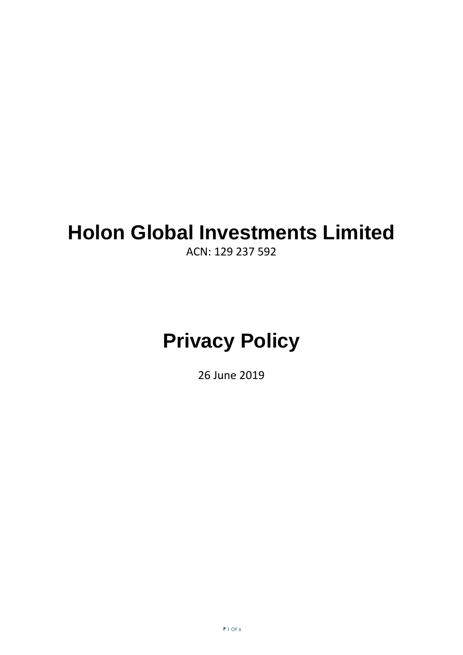## **Holon Global Investments Limited**

ACN: 129 237 592

# **Privacy Policy**

26 June 2019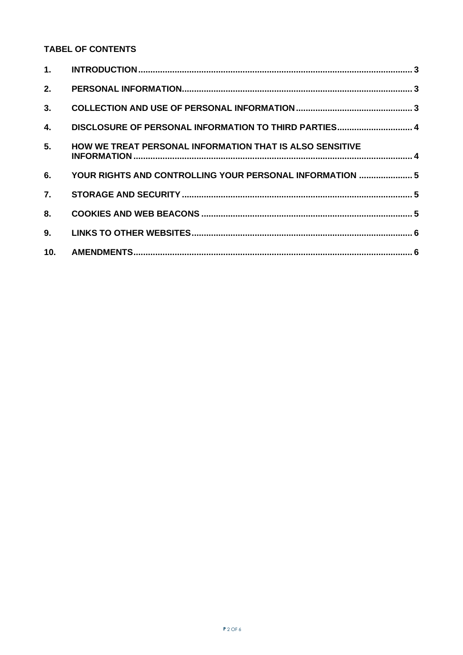### **TABEL OF CONTENTS**

| 2.  |                                                                 |  |
|-----|-----------------------------------------------------------------|--|
| 3.  |                                                                 |  |
| 4.  | DISCLOSURE OF PERSONAL INFORMATION TO THIRD PARTIES 4           |  |
| 5.  | <b>HOW WE TREAT PERSONAL INFORMATION THAT IS ALSO SENSITIVE</b> |  |
| 6.  | YOUR RIGHTS AND CONTROLLING YOUR PERSONAL INFORMATION  5        |  |
| 7.  |                                                                 |  |
| 8.  |                                                                 |  |
| 9.  |                                                                 |  |
| 10. |                                                                 |  |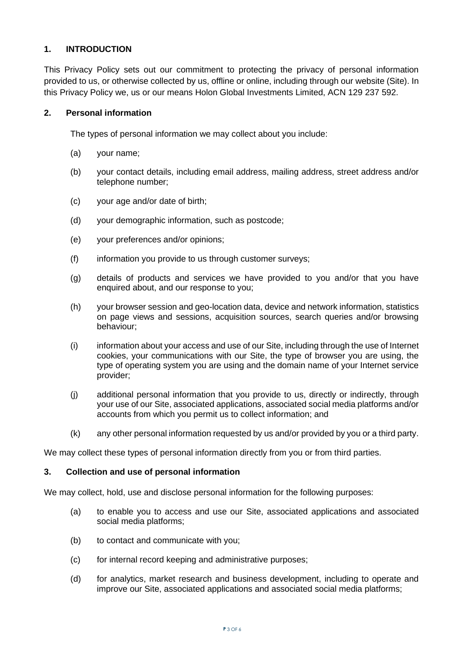#### <span id="page-2-0"></span>**1. INTRODUCTION**

This Privacy Policy sets out our commitment to protecting the privacy of personal information provided to us, or otherwise collected by us, offline or online, including through our website (Site). In this Privacy Policy we, us or our means Holon Global Investments Limited, ACN 129 237 592.

#### <span id="page-2-1"></span>**2. Personal information**

The types of personal information we may collect about you include:

- (a) your name;
- (b) your contact details, including email address, mailing address, street address and/or telephone number;
- (c) your age and/or date of birth;
- (d) your demographic information, such as postcode;
- (e) your preferences and/or opinions;
- (f) information you provide to us through customer surveys;
- (g) details of products and services we have provided to you and/or that you have enquired about, and our response to you;
- (h) your browser session and geo-location data, device and network information, statistics on page views and sessions, acquisition sources, search queries and/or browsing behaviour;
- (i) information about your access and use of our Site, including through the use of Internet cookies, your communications with our Site, the type of browser you are using, the type of operating system you are using and the domain name of your Internet service provider;
- (j) additional personal information that you provide to us, directly or indirectly, through your use of our Site, associated applications, associated social media platforms and/or accounts from which you permit us to collect information; and
- (k) any other personal information requested by us and/or provided by you or a third party.

<span id="page-2-2"></span>We may collect these types of personal information directly from you or from third parties.

#### **3. Collection and use of personal information**

We may collect, hold, use and disclose personal information for the following purposes:

- (a) to enable you to access and use our Site, associated applications and associated social media platforms;
- (b) to contact and communicate with you;
- (c) for internal record keeping and administrative purposes;
- (d) for analytics, market research and business development, including to operate and improve our Site, associated applications and associated social media platforms;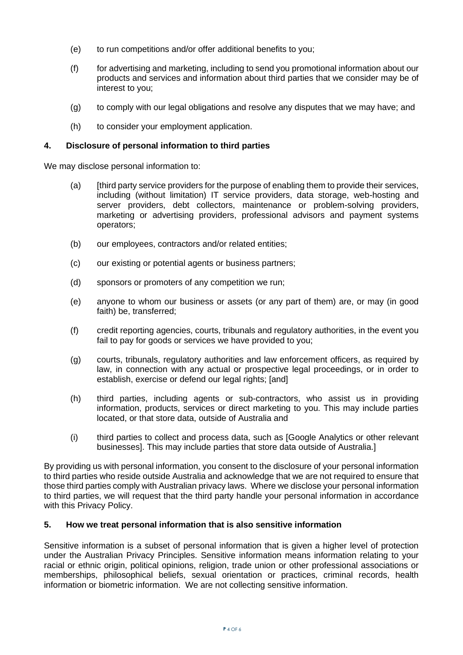- (e) to run competitions and/or offer additional benefits to you;
- (f) for advertising and marketing, including to send you promotional information about our products and services and information about third parties that we consider may be of interest to you;
- (g) to comply with our legal obligations and resolve any disputes that we may have; and
- (h) to consider your employment application.

#### <span id="page-3-0"></span>**4. Disclosure of personal information to third parties**

We may disclose personal information to:

- (a) [third party service providers for the purpose of enabling them to provide their services, including (without limitation) IT service providers, data storage, web-hosting and server providers, debt collectors, maintenance or problem-solving providers, marketing or advertising providers, professional advisors and payment systems operators;
- (b) our employees, contractors and/or related entities;
- (c) our existing or potential agents or business partners;
- (d) sponsors or promoters of any competition we run;
- (e) anyone to whom our business or assets (or any part of them) are, or may (in good faith) be, transferred;
- (f) credit reporting agencies, courts, tribunals and regulatory authorities, in the event you fail to pay for goods or services we have provided to you;
- (g) courts, tribunals, regulatory authorities and law enforcement officers, as required by law, in connection with any actual or prospective legal proceedings, or in order to establish, exercise or defend our legal rights; [and]
- (h) third parties, including agents or sub-contractors, who assist us in providing information, products, services or direct marketing to you. This may include parties located, or that store data, outside of Australia and
- (i) third parties to collect and process data, such as [Google Analytics or other relevant businesses]. This may include parties that store data outside of Australia.]

By providing us with personal information, you consent to the disclosure of your personal information to third parties who reside outside Australia and acknowledge that we are not required to ensure that those third parties comply with Australian privacy laws. Where we disclose your personal information to third parties, we will request that the third party handle your personal information in accordance with this Privacy Policy.

#### <span id="page-3-1"></span>**5. How we treat personal information that is also sensitive information**

Sensitive information is a subset of personal information that is given a higher level of protection under the Australian Privacy Principles. Sensitive information means information relating to your racial or ethnic origin, political opinions, religion, trade union or other professional associations or memberships, philosophical beliefs, sexual orientation or practices, criminal records, health information or biometric information. We are not collecting sensitive information.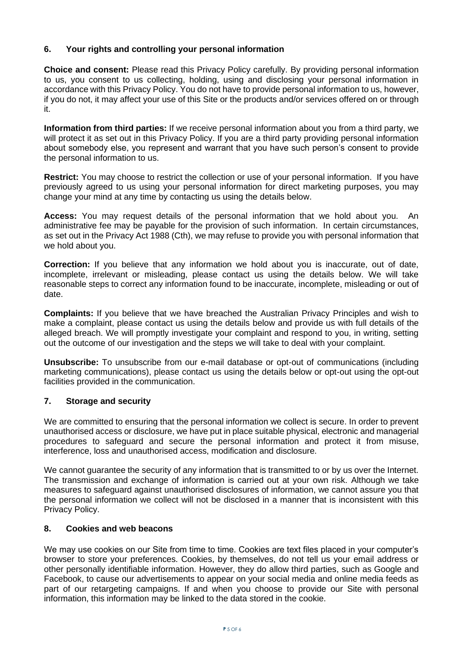#### <span id="page-4-0"></span>**6. Your rights and controlling your personal information**

**Choice and consent:** Please read this Privacy Policy carefully. By providing personal information to us, you consent to us collecting, holding, using and disclosing your personal information in accordance with this Privacy Policy. You do not have to provide personal information to us, however, if you do not, it may affect your use of this Site or the products and/or services offered on or through it.

**Information from third parties:** If we receive personal information about you from a third party, we will protect it as set out in this Privacy Policy. If you are a third party providing personal information about somebody else, you represent and warrant that you have such person's consent to provide the personal information to us.

**Restrict:** You may choose to restrict the collection or use of your personal information. If you have previously agreed to us using your personal information for direct marketing purposes, you may change your mind at any time by contacting us using the details below.

**Access:** You may request details of the personal information that we hold about you. An administrative fee may be payable for the provision of such information. In certain circumstances, as set out in the Privacy Act 1988 (Cth), we may refuse to provide you with personal information that we hold about you.

**Correction:** If you believe that any information we hold about you is inaccurate, out of date, incomplete, irrelevant or misleading, please contact us using the details below. We will take reasonable steps to correct any information found to be inaccurate, incomplete, misleading or out of date.

**Complaints:** If you believe that we have breached the Australian Privacy Principles and wish to make a complaint, please contact us using the details below and provide us with full details of the alleged breach. We will promptly investigate your complaint and respond to you, in writing, setting out the outcome of our investigation and the steps we will take to deal with your complaint.

**Unsubscribe:** To unsubscribe from our e-mail database or opt-out of communications (including marketing communications), please contact us using the details below or opt-out using the opt-out facilities provided in the communication.

#### <span id="page-4-1"></span>**7. Storage and security**

We are committed to ensuring that the personal information we collect is secure. In order to prevent unauthorised access or disclosure, we have put in place suitable physical, electronic and managerial procedures to safeguard and secure the personal information and protect it from misuse, interference, loss and unauthorised access, modification and disclosure.

We cannot guarantee the security of any information that is transmitted to or by us over the Internet. The transmission and exchange of information is carried out at your own risk. Although we take measures to safeguard against unauthorised disclosures of information, we cannot assure you that the personal information we collect will not be disclosed in a manner that is inconsistent with this Privacy Policy.

#### <span id="page-4-2"></span>**8. Cookies and web beacons**

We may use cookies on our Site from time to time. Cookies are text files placed in your computer's browser to store your preferences. Cookies, by themselves, do not tell us your email address or other personally identifiable information. However, they do allow third parties, such as Google and Facebook, to cause our advertisements to appear on your social media and online media feeds as part of our retargeting campaigns. If and when you choose to provide our Site with personal information, this information may be linked to the data stored in the cookie.